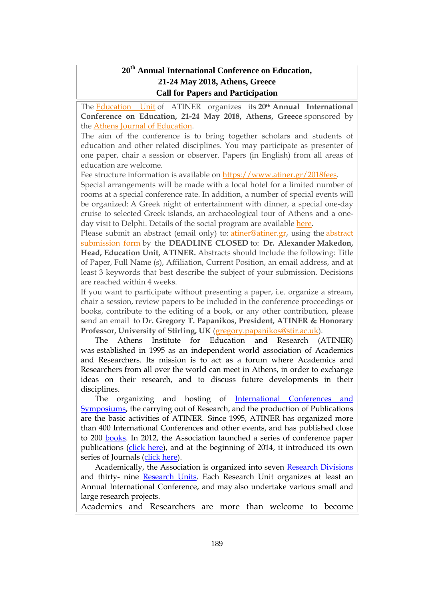#### **20th Annual International Conference on Education, 21-24 May 2018, Athens, Greece Call for Papers and Participation**

The [Education](http://www.atiner.gr/docs/EDUCATION_UNIT.htm) Unit of ATINER organizes its **20th Annual International Conference on Education, 21-24 May 2018, Athens, Greece** sponsored by the Athens Journal of [Education.](http://www.athensjournals.gr/aje)

The aim of the conference is to bring together scholars and students of education and other related disciplines. You may participate as presenter of one paper, chair a session or observer. Papers (in English) from all areas of education are welcome.

Fee structure information is available on [https://www.atiner.gr/2018fees.](https://www.atiner.gr/2018fees)

Special arrangements will be made with a local hotel for a limited number of rooms at a special conference rate. In addition, a number of special events will be organized: A Greek night of entertainment with dinner, a special one-day cruise to selected Greek islands, an archaeological tour of Athens and a oneday visit to Delphi. Details of the social program are available [here.](http://www.atiner.gr/social-program)

Please submit an abstract (email only) to: [atiner@atiner.gr,](mailto:atiner@atiner.gr) using the [abstract](https://www.atiner.gr/2018/FORM-EDU.doc) [submission](https://www.atiner.gr/2018/FORM-EDU.doc) form by the **DEADLINE CLOSED** to: **Dr. Alexander Makedon, Head, Education Unit, ATINER.** Abstracts should include the following: Title of Paper, Full Name (s), Affiliation, Current Position, an email address, and at least 3 keywords that best describe the subject of your submission. Decisions are reached within 4 weeks.

If you want to participate without presenting a paper, i.e. organize a stream, chair a session, review papers to be included in the conference proceedings or books, contribute to the editing of a book, or any other contribution, please send an email to **Dr. Gregory T. Papanikos, President, ATINER & Honorary Professor, University of Stirling, UK** [\(gregory.papanikos@stir.ac.uk\)](mailto:gregory.papanikos@stir.ac.uk).

The Athens Institute for Education and Research (ATINER) was established in 1995 as an independent world association of Academics and Researchers. Its mission is to act as a forum where Academics and Researchers from all over the world can meet in Athens, in order to exchange ideas on their research, and to discuss future developments in their disciplines.

The organizing and hosting of [International Conferences and](http://www.atiner.gr/Conferences.htm)  [Symposiums,](http://www.atiner.gr/Conferences.htm) the carrying out of Research, and the production of Publications are the basic activities of ATINER. Since 1995, ATINER has organized more than 400 International Conferences and other events, and has published close to 200 [books.](http://www.atiner.gr/Publications.htm) In 2012, the Association launched a series of conference paper publications [\(click here\)](http://www.atiner.gr/papers.htm), and at the beginning of 2014, it introduced its own series of Journals [\(click here\)](http://www.athensjournals.gr/).

Academically, the Association is organized into seven [Research Divisions](http://www.atiner.gr/RESEARCH-DIVISIONS.htm) and thirty- nine [Research Units.](http://www.atiner.gr/RESEARCH-DIVISIONS.htm) Each Research Unit organizes at least an Annual International Conference, and may also undertake various small and large research projects.

Academics and Researchers are more than welcome to become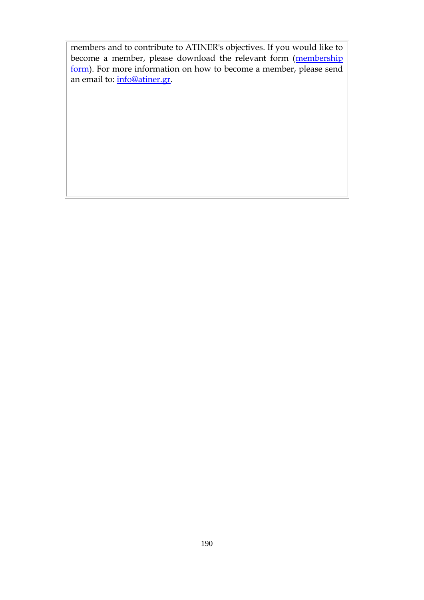members and to contribute to ATINER's objectives. If you would like to become a member, please download the relevant form (membership [form\)](http://www.atiner.gr/docs/MEMBER_FORM.doc). For more information on how to become a member, please send an email to: [info@atiner.gr.](mailto:info@atiner.gr)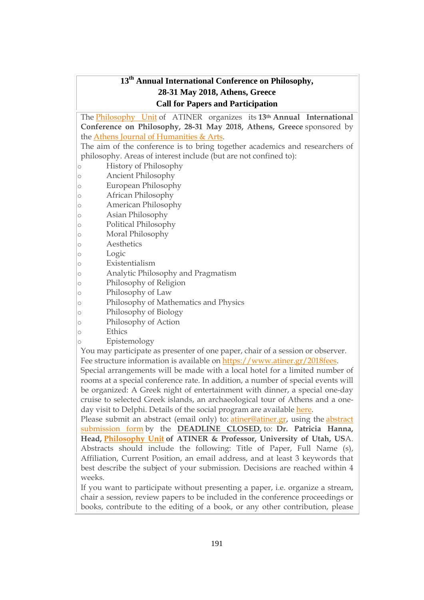#### **13 th Annual International Conference on Philosophy, 28-31 May 2018, Athens, Greece Call for Papers and Participation**

The [Philosophy](https://www.atiner.gr/philosophy-unit) Unit of ATINER organizes its **13th Annual International Conference on Philosophy, 28-31 May 2018, Athens, Greece** sponsored by the Athens Journal of [Humanities](http://www.athensjournals.gr/ajha) & Arts.

The aim of the conference is to bring together academics and researchers of philosophy. Areas of interest include (but are not confined to):

- o History of Philosophy
- o Ancient Philosophy
- o European Philosophy
- o African Philosophy
- o American Philosophy
- o Asian Philosophy
- o Political Philosophy
- o Moral Philosophy
- o Aesthetics
- o Logic
- o Existentialism
- o Analytic Philosophy and Pragmatism
- o Philosophy of Religion
- o Philosophy of Law
- o Philosophy of Mathematics and Physics
- o Philosophy of Biology
- o Philosophy of Action
- o Ethics
- o Epistemology

You may participate as presenter of one paper, chair of a session or observer. Fee structure information is available on [https://www.atiner.gr/2018fees.](https://www.atiner.gr/2018fees)

Special arrangements will be made with a local hotel for a limited number of rooms at a special conference rate. In addition, a number of special events will be organized: A Greek night of entertainment with dinner, a special one-day cruise to selected Greek islands, an archaeological tour of Athens and a oneday visit to Delphi. Details of the social program are available [here.](http://www.atiner.gr/social-program)

Please submit an abstract (email only) to: [atiner@atiner.gr,](mailto:atiner@atiner.gr) using the [abstract](https://www.atiner.gr/2018/FORM-PHI.doc) [submission](https://www.atiner.gr/2018/FORM-PHI.doc) form by the **DEADLINE CLOSED,** to: **Dr. Patricia Hanna, Head, [Philosophy](https://www.atiner.gr/philosophy-unit) Unit of ATINER & Professor, University of Utah, US**A. Abstracts should include the following: Title of Paper, Full Name (s), Affiliation, Current Position, an email address, and at least 3 keywords that best describe the subject of your submission. Decisions are reached within 4 weeks.

If you want to participate without presenting a paper, i.e. organize a stream, chair a session, review papers to be included in the conference proceedings or books, contribute to the editing of a book, or any other contribution, please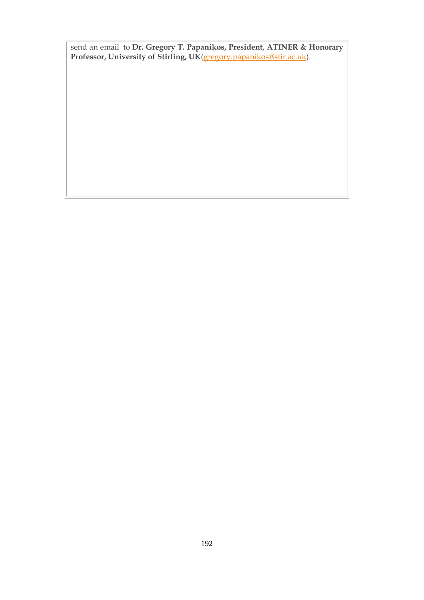send an email to **Dr. Gregory T. Papanikos, President, ATINER & Honorary Professor, University of Stirling, UK**[\(gregory.papanikos@stir.ac.uk\)](mailto:gregory.papanikos@stir.ac.uk).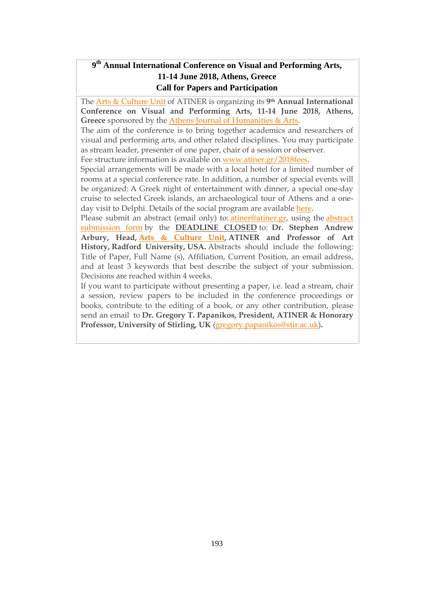## **9 th Annual International Conference on Visual and Performing Arts, 11-14 June 2018, Athens, Greece Call for Papers and Participation**

The Arts & [Culture](http://www.atiner.gr/ARTS-UNIT) Unit of ATINER is organizing its **9th Annual International Conference on Visual and Performing Arts, 11-14 June 2018, Athens,** Greece sponsored by the Athens Journal of [Humanities](http://www.athensjournals.gr/ajha) & Arts.

The aim of the conference is to bring together academics and researchers of visual and performing arts, and other related disciplines. You may participate as stream leader, presenter of one paper, chair of a session or observer.

Fee structure information is available on [www.atiner.gr/2018fees.](https://www.atiner.gr/2018fees)

Special arrangements will be made with a local hotel for a limited number of rooms at a special conference rate. In addition, a number of special events will be organized: A Greek night of entertainment with dinner, a special one-day cruise to selected Greek islands, an archaeological tour of Athens and a oneday visit to Delphi. Details of the social program are available [here.](http://www.atiner.gr/social-program)

Please submit an [abstract](https://www.atiner.gr/2018/FORM-ART.doc) (email only) to: *atiner@atiner.gr*, using the *abstract* [submission](https://www.atiner.gr/2018/FORM-ART.doc) form by the **DEADLINE CLOSED** to: **Dr. Stephen Andrew Arbury, Head, Arts & [Culture](http://www.atiner.gr/ARTS-UNIT) Unit, ATINER and Professor of Art History, Radford University, USA.** Abstracts should include the following: Title of Paper, Full Name (s), Affiliation, Current Position, an email address, and at least 3 keywords that best describe the subject of your submission. Decisions are reached within 4 weeks.

If you want to participate without presenting a paper, i.e. lead a stream, chair a session, review papers to be included in the conference proceedings or books, contribute to the editing of a book, or any other contribution, please send an email to **Dr. Gregory T. Papanikos, President, ATINER & Honorary Professor, University of Stirling, UK** [\(gregory.papanikos@stir.ac.uk\)](mailto:gregory.papanikos@stir.ac.uk)**.**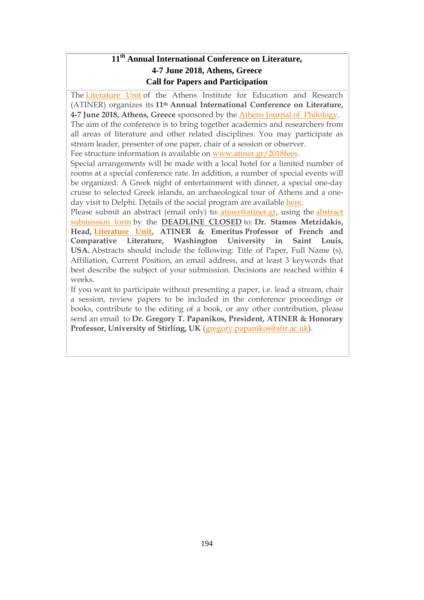## **11 th Annual International Conference on Literature, 4-7 June 2018, Athens, Greece Call for Papers and Participation**

The [Literature](http://www.atiner.gr/literature-unit) Unit of the Athens Institute for Education and Research (ATINER) organizes its **11th Annual International Conference on Literature, 4-7 June 2018, Athens, Greece** sponsored by the Athens Journal of [Philology.](http://www.athensjournals.gr/ajp) The aim of the conference is to bring together academics and researchers from all areas of literature and other related disciplines. You may participate as stream leader, presenter of one paper, chair of a session or observer.

Fee structure information is available on [www.atiner.gr/2018fees.](https://www.atiner.gr/2018fees)

Special arrangements will be made with a local hotel for a limited number of rooms at a special conference rate. In addition, a number of special events will be organized: A Greek night of entertainment with dinner, a special one-day cruise to selected Greek islands, an archaeological tour of Athens and a oneday visit to Delphi. Details of the social program are available [here.](http://www.atiner.gr/social-program)

Please submit an abstract (email only) to: [atiner@atiner.gr,](mailto:atiner@atiner.gr) using the [abstract](https://www.atiner.gr/2018/FORM-LIT.doc) [submission](https://www.atiner.gr/2018/FORM-LIT.doc) form by the **DEADLINE CLOSED** to: **Dr. Stamos Metzidakis, Head, [Literature](http://www.atiner.gr/LITERATURE-UNIT.htm) Unit, ATINER & Emeritus Professor of French and Comparative Literature, Washington University in Saint Louis, USA.** Abstracts should include the following: Title of Paper, Full Name (s), Affiliation, Current Position, an email address, and at least 3 keywords that best describe the subject of your submission. Decisions are reached within 4 weeks.

If you want to participate without presenting a paper, i.e. lead a stream, chair a session, review papers to be included in the conference proceedings or books, contribute to the editing of a book, or any other contribution, please send an email to **Dr. Gregory T. Papanikos, President, ATINER & Honorary Professor, University of Stirling, UK** [\(gregory.papanikos@stir.ac.uk\)](mailto:gregory.papanikos@stir.ac.uk).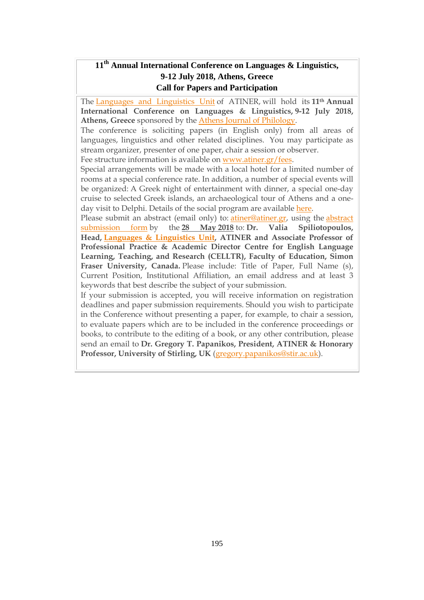## **11 th Annual International Conference on Languages & Linguistics, 9-12 July 2018, Athens, Greece Call for Papers and Participation**

The Languages and [Linguistics](http://www.atiner.gr/LANGUAGE-UNIT.htm) Unit of ATINER, will hold its **11th Annual International Conference on Languages & Linguistics, 9-12 July 2018, Athens, Greece** sponsored by the Athens Journal of [Philology.](http://www.athensjournals.gr/ajp)

The conference is soliciting papers (in English only) from all areas of languages, linguistics and other related disciplines. You may participate as stream organizer, presenter of one paper, chair a session or observer.

Fee structure information is available on [www.atiner.gr/fees.](https://www.atiner.gr/2018conferences)

Special arrangements will be made with a local hotel for a limited number of rooms at a special conference rate. In addition, a number of special events will be organized: A Greek night of entertainment with dinner, a special one-day cruise to selected Greek islands, an archaeological tour of Athens and a oneday visit to Delphi. Details of the social program are available [here.](http://www.atiner.gr/social-program)

Please submit an [abstract](https://www.atiner.gr/2018/FORM-LNG.doc) (email only) to: *atiner@atiner.gr*, using the *abstract* [submission](https://www.atiner.gr/2018/FORM-LNG.doc) form by the **28 May 2018** to: **Dr. Valia Spiliotopoulos, Head, Languages & [Linguistics](https://www.atiner.gr/language-unit) Unit, ATINER and Associate Professor of Professional Practice & Academic Director Centre for English Language Learning, Teaching, and Research (CELLTR), Faculty of Education, Simon Fraser University, Canada.** Please include: Title of Paper, Full Name (s), Current Position, Institutional Affiliation, an email address and at least 3 keywords that best describe the subject of your submission.

If your submission is accepted, you will receive information on registration deadlines and paper submission requirements. Should you wish to participate in the Conference without presenting a paper, for example, to chair a session, to evaluate papers which are to be included in the conference proceedings or books, to contribute to the editing of a book, or any other contribution, please send an email to **Dr. Gregory T. Papanikos, President, ATINER & Honorary Professor, University of Stirling, UK** [\(gregory.papanikos@stir.ac.uk\)](mailto:gregory.papanikos@stir.ac.uk).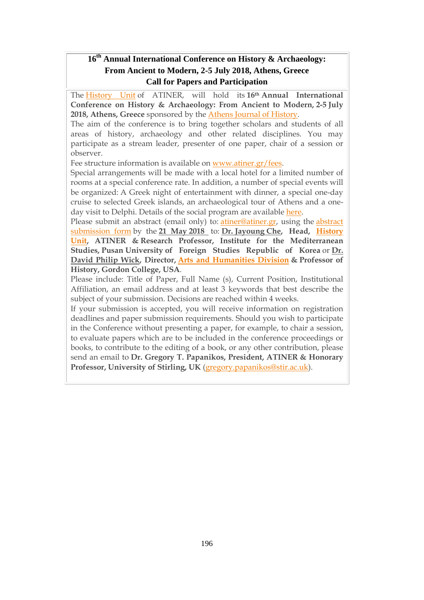## **16 th Annual International Conference on History & Archaeology: From Ancient to Modern, 2-5 July 2018, Athens, Greece Call for Papers and Participation**

The [History](http://www.atiner.gr/docs/HISTORY_UNIT.htm) Unit of ATINER, will hold its **16th Annual International Conference on History & Archaeology: From Ancient to Modern, 2-5 July 2018, Athens, Greece** sponsored by the Athens Journal of [History.](http://www.athensjournals.gr/ajhis)

The aim of the conference is to bring together scholars and students of all areas of history, archaeology and other related disciplines. You may participate as a stream leader, presenter of one paper, chair of a session or observer.

Fee structure information is available on [www.atiner.gr/fees.](http://atiner.gr/2018fees)

Special arrangements will be made with a local hotel for a limited number of rooms at a special conference rate. In addition, a number of special events will be organized: A Greek night of entertainment with dinner, a special one-day cruise to selected Greek islands, an archaeological tour of Athens and a oneday visit to Delphi. Details of the social program are available [here.](http://www.atiner.gr/social-program)

Please submit an abstract (email only) to: [atiner@atiner.gr,](mailto:atiner@atiner.gr) using the [abstract](https://www.atiner.gr/2018/FORM-HIS.doc) [submission](https://www.atiner.gr/2018/FORM-HIS.doc) form by the **21 May 2018** to: **Dr. Jayoung Che, Head, [History](http://www.atiner.gr/docs/HISTORY_UNIT.htm) [Unit,](http://www.atiner.gr/docs/HISTORY_UNIT.htm) ATINER & Research Professor, Institute for the Mediterranean Studies, Pusan University of Foreign Studies Republic of Korea** or **Dr. David Philip Wick, Director, Arts and [Humanities](http://www.atiner.gr/AHRD.htm) Division & Professor of History, Gordon College, USA**.

Please include: Title of Paper, Full Name (s), Current Position, Institutional Affiliation, an email address and at least 3 keywords that best describe the subject of your submission. Decisions are reached within 4 weeks.

If your submission is accepted, you will receive information on registration deadlines and paper submission requirements. Should you wish to participate in the Conference without presenting a paper, for example, to chair a session, to evaluate papers which are to be included in the conference proceedings or books, to contribute to the editing of a book, or any other contribution, please send an email to **Dr. Gregory T. Papanikos, President, ATINER & Honorary Professor, University of Stirling, UK** [\(gregory.papanikos@stir.ac.uk\)](mailto:gregory.papanikos@stir.ac.uk).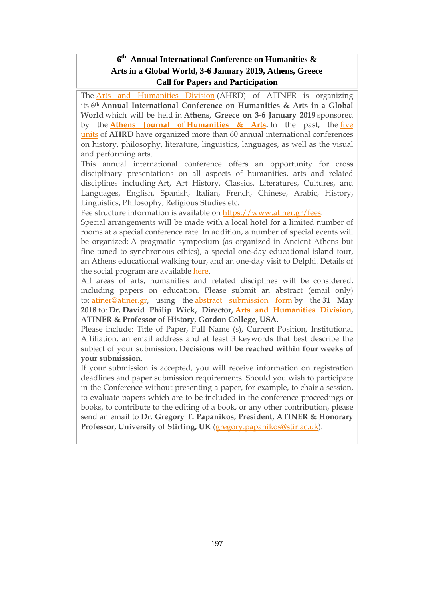## **6 th Annual International Conference on Humanities & Arts in a Global World, 3-6 January 2019, Athens, Greece Call for Papers and Participation**

The Arts and [Humanities](https://www.atiner.gr/ahrd) Division (AHRD) of ATINER is organizing its **6th Annual International Conference on Humanities & Arts in a Global World** which will be held in **Athens, Greece on 3-6 January 2019** sponsored by the **Athens Journal of [Humanities](http://www.athensjournals.gr/ajha) & Arts.** In the past, the [five](https://www.atiner.gr/AHRD.htm) [units](https://www.atiner.gr/AHRD.htm) of **AHRD** have organized more than 60 annual international conferences on history, philosophy, literature, linguistics, languages, as well as the visual and performing arts.

This annual international conference offers an opportunity for cross disciplinary presentations on all aspects of humanities, arts and related disciplines including Art, Art History, Classics, Literatures, Cultures, and Languages, English, Spanish, Italian, French, Chinese, Arabic, History, Linguistics, Philosophy, Religious Studies etc.

Fee structure information is available on [https://www.atiner.gr/fees.](https://www.atiner.gr/fees)

Special arrangements will be made with a local hotel for a limited number of rooms at a special conference rate. In addition, a number of special events will be organized: A pragmatic symposium (as organized in Ancient Athens but fine tuned to synchronous ethics), a special one-day educational island tour, an Athens educational walking tour, and an one-day visit to Delphi. Details of the social program are available [here.](https://www.atiner.gr/social-program-hum)

All areas of arts, humanities and related disciplines will be considered, including papers on education. Please submit an abstract (email only) to: [atiner@atiner.gr,](mailto:atiner@atiner.gr) using the abstract [submission](http://www.atiner.gr/2019/FORM-HUM.doc) form by the **31 May 2018** to: **Dr. David Philip Wick, Director, Arts and [Humanities](https://www.atiner.gr/ahrd) Division, ATINER & Professor of History, Gordon College, USA.**

Please include: Title of Paper, Full Name (s), Current Position, Institutional Affiliation, an email address and at least 3 keywords that best describe the subject of your submission. **Decisions will be reached within four weeks of your submission.**

If your submission is accepted, you will receive information on registration deadlines and paper submission requirements. Should you wish to participate in the Conference without presenting a paper, for example, to chair a session, to evaluate papers which are to be included in the conference proceedings or books, to contribute to the editing of a book, or any other contribution, please send an email to **Dr. Gregory T. Papanikos, President, ATINER & Honorary Professor, University of Stirling, UK** [\(gregory.papanikos@stir.ac.uk\)](mailto:gregory.papanikos@stir.ac.uk).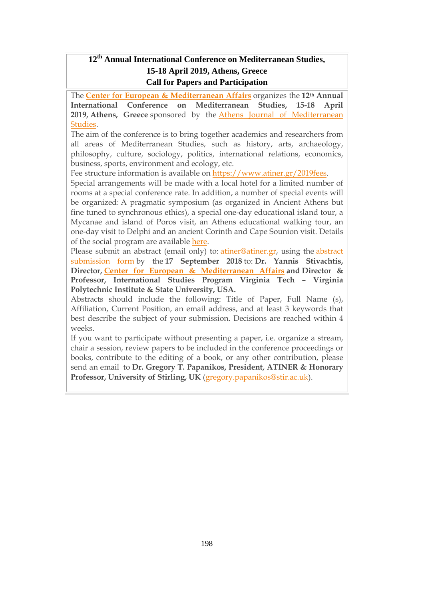## **12th Annual International Conference on Mediterranean Studies, 15-18 April 2019, Athens, Greece Call for Papers and Participation**

The **Center for European & [Mediterranean](http://www.atiner.gr/cema) Affairs** organizes the **12th Annual International Conference on Mediterranean Studies, 15-18 April 2019, Athens, Greece** sponsored by the Athens Journal of [Mediterranean](http://www.athensjournals.gr/ajms) [Studies.](http://www.athensjournals.gr/ajms)

The aim of the conference is to bring together academics and researchers from all areas of Mediterranean Studies, such as history, arts, archaeology, philosophy, culture, sociology, politics, international relations, economics, business, sports, environment and ecology, etc.

Fee structure information is available on [https://www.atiner.gr/2019fees.](https://www.atiner.gr/2019fees)

Special arrangements will be made with a local hotel for a limited number of rooms at a special conference rate. In addition, a number of special events will be organized: A pragmatic symposium (as organized in Ancient Athens but fine tuned to synchronous ethics), a special one-day educational island tour, a Mycanae and island of Poros visit, an Athens educational walking tour, an one-day visit to Delphi and an ancient Corinth and Cape Sounion visit. Details of the social program are available [here.](http://www.atiner.gr/social-program)

Please submit an abstract (email only) to: [atiner@atiner.gr,](mailto:atiner@atiner.gr) using the [abstract](https://www.atiner.gr/2019/FORM-MDT.doc) [submission](https://www.atiner.gr/2019/FORM-MDT.doc) form by the **17 September 2018** to: **Dr. Yannis Stivachtis, Director, Center for European & [Mediterranean](http://www.atiner.gr/cema) Affairs and Director & Professor, International Studies Program Virginia Tech – Virginia Polytechnic Institute & State University, USA.**

Abstracts should include the following: Title of Paper, Full Name (s), Affiliation, Current Position, an email address, and at least 3 keywords that best describe the subject of your submission. Decisions are reached within 4 weeks.

If you want to participate without presenting a paper, i.e. organize a stream, chair a session, review papers to be included in the conference proceedings or books, contribute to the editing of a book, or any other contribution, please send an email to **Dr. Gregory T. Papanikos, President, ATINER & Honorary Professor, University of Stirling, UK** [\(gregory.papanikos@stir.ac.uk\)](mailto:gregory.papanikos@stir.ac.uk).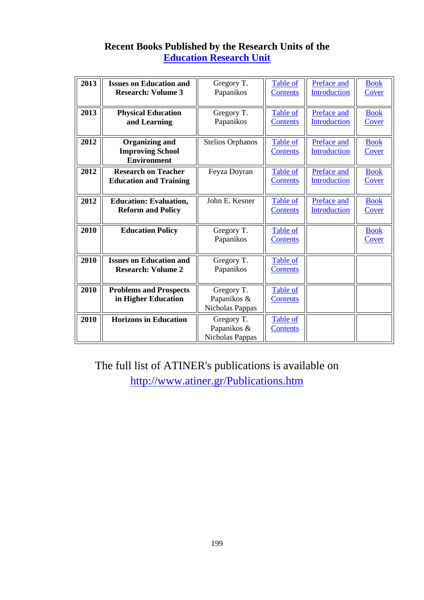# **Recent Books Published by the Research Units of the [Education Research Unit](http://www.atiner.gr/docs/EDUCATION_UNIT.htm)**

| 2013 | <b>Issues on Education and</b><br><b>Research: Volume 3</b>            | Gregory T.<br>Papanikos                      | Table of<br><b>Contents</b>        | Preface and<br>Introduction        | <b>Book</b><br>Cover        |
|------|------------------------------------------------------------------------|----------------------------------------------|------------------------------------|------------------------------------|-----------------------------|
| 2013 | <b>Physical Education</b><br>and Learning                              | Gregory T.<br>Papanikos                      | Table of<br><b>Contents</b>        | Preface and<br>Introduction        | <b>Book</b><br><b>Cover</b> |
| 2012 | <b>Organizing and</b><br><b>Improving School</b><br><b>Environment</b> | <b>Stelios Orphanos</b>                      | Table of<br><b>Contents</b>        | Preface and<br><b>Introduction</b> | <b>Book</b><br>Cover        |
| 2012 | <b>Research on Teacher</b><br><b>Education and Training</b>            | Feyza Doyran                                 | <b>Table of</b><br><b>Contents</b> | Preface and<br>Introduction        | <b>Book</b><br>Cover        |
| 2012 | <b>Education: Evaluation,</b><br><b>Reform and Policy</b>              | John E. Kesner                               | Table of<br><b>Contents</b>        | Preface and<br>Introduction        | <b>Book</b><br>Cover        |
| 2010 | <b>Education Policy</b>                                                | Gregory T.<br>Papanikos                      | <b>Table of</b><br><b>Contents</b> |                                    | <b>Book</b><br>Cover        |
| 2010 | <b>Issues on Education and</b><br><b>Research: Volume 2</b>            | Gregory T.<br>Papanikos                      | Table of<br><b>Contents</b>        |                                    |                             |
| 2010 | <b>Problems and Prospects</b><br>in Higher Education                   | Gregory T.<br>Papanikos &<br>Nicholas Pappas | Table of<br><b>Contents</b>        |                                    |                             |
| 2010 | <b>Horizons in Education</b>                                           | Gregory T.<br>Papanikos &<br>Nicholas Pappas | Table of<br><b>Contents</b>        |                                    |                             |

The full list of ATINER's publications is available on <http://www.atiner.gr/Publications.htm>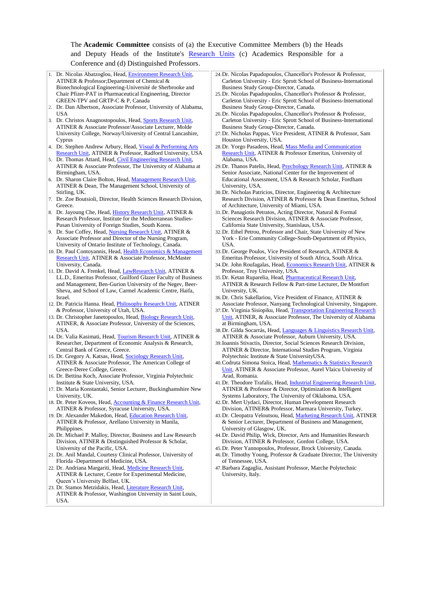#### The **Academic Committee** consists of (a) the Executive Committee Members (b) the Heads and Deputy Heads of the Institute's [Research Units](http://www.atiner.gr/RESEARCH-DIVISIONS.htm) (c) Academics Responsible for a Conference and (d) Distinguished Professors.



ATINER & Professor, Washington University in Saint Louis, USA.